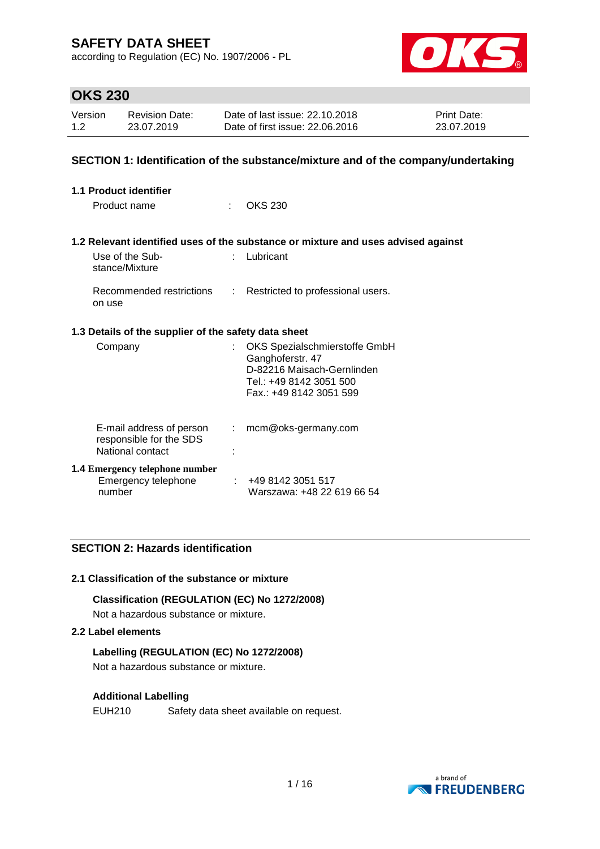according to Regulation (EC) No. 1907/2006 - PL



# **OKS 230**

| Version | <b>Revision Date:</b> | Date of last issue: 22.10.2018  | <b>Print Date:</b> |
|---------|-----------------------|---------------------------------|--------------------|
| 1.2     | 23.07.2019            | Date of first issue: 22,06,2016 | 23.07.2019         |

## **SECTION 1: Identification of the substance/mixture and of the company/undertaking**

| <b>1.1 Product identifier</b>                                           |    |                                                                                                                                       |
|-------------------------------------------------------------------------|----|---------------------------------------------------------------------------------------------------------------------------------------|
| Product name                                                            | ٠  | OKS 230                                                                                                                               |
|                                                                         |    | 1.2 Relevant identified uses of the substance or mixture and uses advised against                                                     |
| Use of the Sub-<br>stance/Mixture                                       |    | Lubricant                                                                                                                             |
| Recommended restrictions<br>on use                                      | ÷. | Restricted to professional users.                                                                                                     |
| 1.3 Details of the supplier of the safety data sheet                    |    |                                                                                                                                       |
| Company                                                                 |    | OKS Spezialschmierstoffe GmbH<br>Ganghoferstr. 47<br>D-82216 Maisach-Gernlinden<br>Tel.: +49 8142 3051 500<br>Fax.: +49 8142 3051 599 |
| E-mail address of person<br>responsible for the SDS<br>National contact | t. | mcm@oks-germany.com                                                                                                                   |
| <b>1.4 Emergency telephone number</b><br>Emergency telephone<br>number  |    | +49 8142 3051 517<br>Warszawa: +48 22 619 66 54                                                                                       |

## **SECTION 2: Hazards identification**

### **2.1 Classification of the substance or mixture**

**Classification (REGULATION (EC) No 1272/2008)**

Not a hazardous substance or mixture.

## **2.2 Label elements**

### **Labelling (REGULATION (EC) No 1272/2008)**

Not a hazardous substance or mixture.

### **Additional Labelling**

EUH210 Safety data sheet available on request.

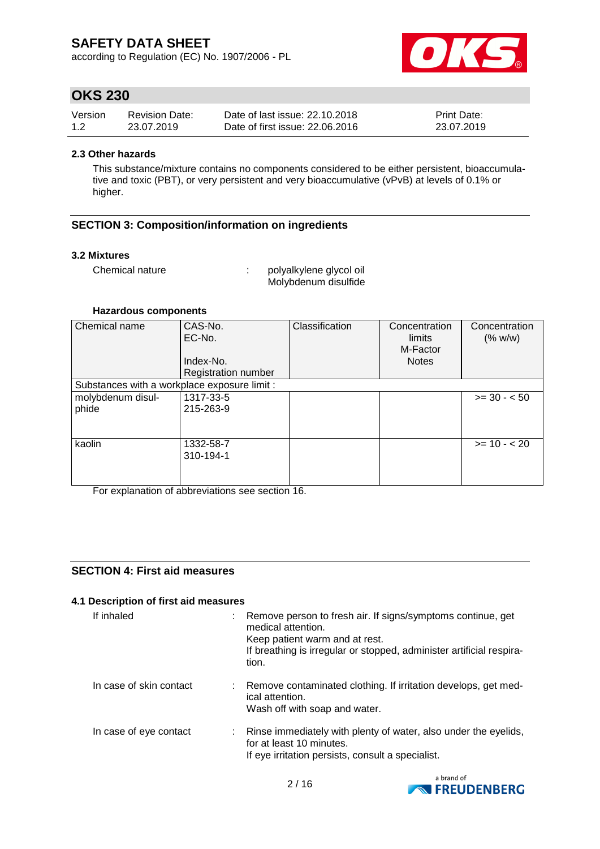according to Regulation (EC) No. 1907/2006 - PL



# **OKS 230**

| Version | <b>Revision Date:</b> | Date of last issue: 22.10.2018  | <b>Print Date:</b> |
|---------|-----------------------|---------------------------------|--------------------|
| 1.2     | 23.07.2019            | Date of first issue: 22,06,2016 | 23.07.2019         |

### **2.3 Other hazards**

This substance/mixture contains no components considered to be either persistent, bioaccumulative and toxic (PBT), or very persistent and very bioaccumulative (vPvB) at levels of 0.1% or higher.

## **SECTION 3: Composition/information on ingredients**

### **3.2 Mixtures**

Chemical nature : polyalkylene glycol oil Molybdenum disulfide

### **Hazardous components**

| Chemical name                                | CAS-No.<br>EC-No.   | Classification | Concentration<br>limits<br>M-Factor | Concentration<br>(% w/w) |
|----------------------------------------------|---------------------|----------------|-------------------------------------|--------------------------|
|                                              | Index-No.           |                | <b>Notes</b>                        |                          |
|                                              | Registration number |                |                                     |                          |
| Substances with a workplace exposure limit : |                     |                |                                     |                          |
| molybdenum disul-                            | 1317-33-5           |                |                                     | $>= 30 - 50$             |
| phide                                        | 215-263-9           |                |                                     |                          |
|                                              |                     |                |                                     |                          |
|                                              |                     |                |                                     |                          |
| kaolin                                       | 1332-58-7           |                |                                     | $>= 10 - 20$             |
|                                              | 310-194-1           |                |                                     |                          |
|                                              |                     |                |                                     |                          |
|                                              |                     |                |                                     |                          |

For explanation of abbreviations see section 16.

## **SECTION 4: First aid measures**

### **4.1 Description of first aid measures**

| If inhaled              | : Remove person to fresh air. If signs/symptoms continue, get<br>medical attention.<br>Keep patient warm and at rest.<br>If breathing is irregular or stopped, administer artificial respira-<br>tion. |  |
|-------------------------|--------------------------------------------------------------------------------------------------------------------------------------------------------------------------------------------------------|--|
| In case of skin contact | : Remove contaminated clothing. If irritation develops, get med-<br>ical attention.<br>Wash off with soap and water.                                                                                   |  |
| In case of eye contact  | : Rinse immediately with plenty of water, also under the eyelids,<br>for at least 10 minutes.<br>If eye irritation persists, consult a specialist.                                                     |  |

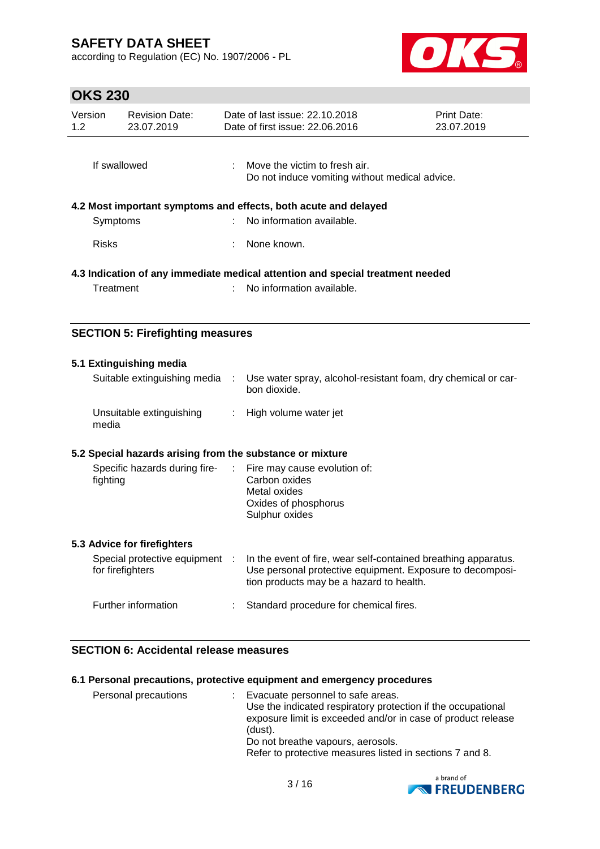according to Regulation (EC) No. 1907/2006 - PL



# **OKS 230**

| Version<br>1.2                                                                 | <b>Revision Date:</b><br>23.07.2019 |                           | Date of last issue: 22.10.2018<br>Date of first issue: 22.06.2016                            | <b>Print Date:</b><br>23.07.2019 |
|--------------------------------------------------------------------------------|-------------------------------------|---------------------------|----------------------------------------------------------------------------------------------|----------------------------------|
| If swallowed                                                                   |                                     |                           | Move the victim to fresh air.<br>Do not induce vomiting without medical advice.              |                                  |
|                                                                                | Symptoms                            |                           | 4.2 Most important symptoms and effects, both acute and delayed<br>No information available. |                                  |
| <b>Risks</b>                                                                   |                                     |                           | None known.                                                                                  |                                  |
| 4.3 Indication of any immediate medical attention and special treatment needed |                                     |                           |                                                                                              |                                  |
| Treatment                                                                      |                                     | No information available. |                                                                                              |                                  |

## **SECTION 5: Firefighting measures**

| 5.1 Extinguishing media                                                  |                                                                                                                                                                         |
|--------------------------------------------------------------------------|-------------------------------------------------------------------------------------------------------------------------------------------------------------------------|
| Suitable extinguishing media :                                           | Use water spray, alcohol-resistant foam, dry chemical or car-<br>bon dioxide.                                                                                           |
| Unsuitable extinguishing<br>media                                        | : High volume water jet                                                                                                                                                 |
| 5.2 Special hazards arising from the substance or mixture                |                                                                                                                                                                         |
| Specific hazards during fire- : Fire may cause evolution of:<br>fighting | Carbon oxides<br>Metal oxides<br>Oxides of phosphorus<br>Sulphur oxides                                                                                                 |
| 5.3 Advice for firefighters                                              |                                                                                                                                                                         |
| Special protective equipment :<br>for firefighters                       | In the event of fire, wear self-contained breathing apparatus.<br>Use personal protective equipment. Exposure to decomposi-<br>tion products may be a hazard to health. |
| Further information                                                      | Standard procedure for chemical fires.                                                                                                                                  |

## **SECTION 6: Accidental release measures**

## **6.1 Personal precautions, protective equipment and emergency procedures**

| Personal precautions<br>Evacuate personnel to safe areas.<br>Use the indicated respiratory protection if the occupational<br>exposure limit is exceeded and/or in case of product release<br>(dust).<br>Do not breathe vapours, aerosols.<br>Refer to protective measures listed in sections 7 and 8. |  |
|-------------------------------------------------------------------------------------------------------------------------------------------------------------------------------------------------------------------------------------------------------------------------------------------------------|--|
|-------------------------------------------------------------------------------------------------------------------------------------------------------------------------------------------------------------------------------------------------------------------------------------------------------|--|

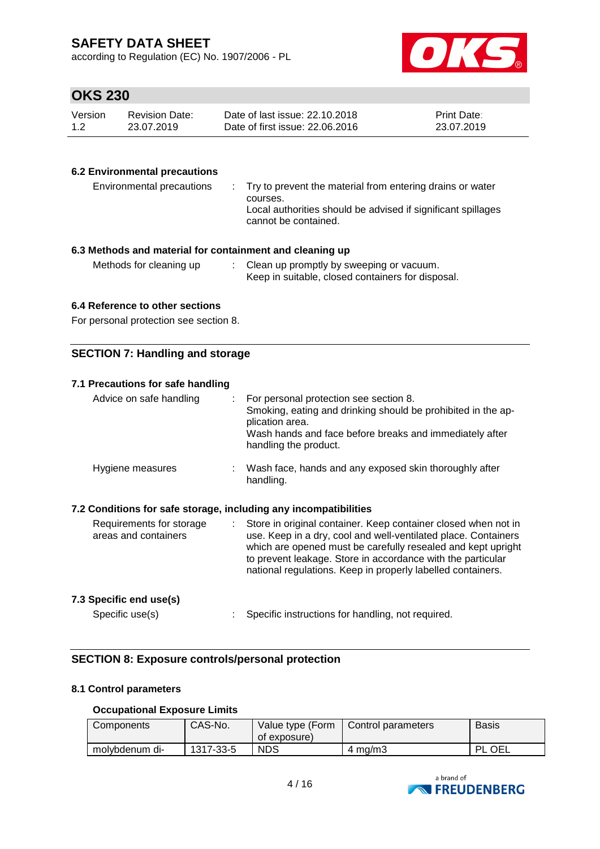according to Regulation (EC) No. 1907/2006 - PL



# **OKS 230**

| Version | Revision Date: | Date of last issue: 22.10.2018  | <b>Print Date:</b> |
|---------|----------------|---------------------------------|--------------------|
| 1.2     | 23.07.2019     | Date of first issue: 22.06.2016 | 23.07.2019         |

## **6.2 Environmental precautions**

| Environmental precautions | . Try to prevent the material from entering drains or water<br>courses.<br>Local authorities should be advised if significant spillages<br>cannot be contained. |
|---------------------------|-----------------------------------------------------------------------------------------------------------------------------------------------------------------|
|---------------------------|-----------------------------------------------------------------------------------------------------------------------------------------------------------------|

## **6.3 Methods and material for containment and cleaning up**

| Methods for cleaning up |  | Clean up promptly by sweeping or vacuum.<br>Keep in suitable, closed containers for disposal. |
|-------------------------|--|-----------------------------------------------------------------------------------------------|
|-------------------------|--|-----------------------------------------------------------------------------------------------|

### **6.4 Reference to other sections**

For personal protection see section 8.

## **SECTION 7: Handling and storage**

| 7.1 Precautions for safe handling                                |                                                                                                                                                                                                                                                                                                                                      |
|------------------------------------------------------------------|--------------------------------------------------------------------------------------------------------------------------------------------------------------------------------------------------------------------------------------------------------------------------------------------------------------------------------------|
| Advice on safe handling                                          | For personal protection see section 8.<br>÷.<br>Smoking, eating and drinking should be prohibited in the ap-<br>plication area.<br>Wash hands and face before breaks and immediately after<br>handling the product.                                                                                                                  |
| Hygiene measures                                                 | : Wash face, hands and any exposed skin thoroughly after<br>handling.                                                                                                                                                                                                                                                                |
| 7.2 Conditions for safe storage, including any incompatibilities |                                                                                                                                                                                                                                                                                                                                      |
| Requirements for storage<br>areas and containers                 | Store in original container. Keep container closed when not in<br>t.<br>use. Keep in a dry, cool and well-ventilated place. Containers<br>which are opened must be carefully resealed and kept upright<br>to prevent leakage. Store in accordance with the particular<br>national regulations. Keep in properly labelled containers. |
| 7.3 Specific end use(s)                                          |                                                                                                                                                                                                                                                                                                                                      |
| Specific use(s)                                                  | Specific instructions for handling, not required.                                                                                                                                                                                                                                                                                    |

## **SECTION 8: Exposure controls/personal protection**

### **8.1 Control parameters**

### **Occupational Exposure Limits**

| Components     | CAS-No.   | Value type (Form<br>of exposure) | Control parameters | <b>Basis</b> |
|----------------|-----------|----------------------------------|--------------------|--------------|
| molvbdenum di- | 1317-33-5 | <b>NDS</b>                       | $4 \text{ ma/m}$   | DΙ<br>OEL    |

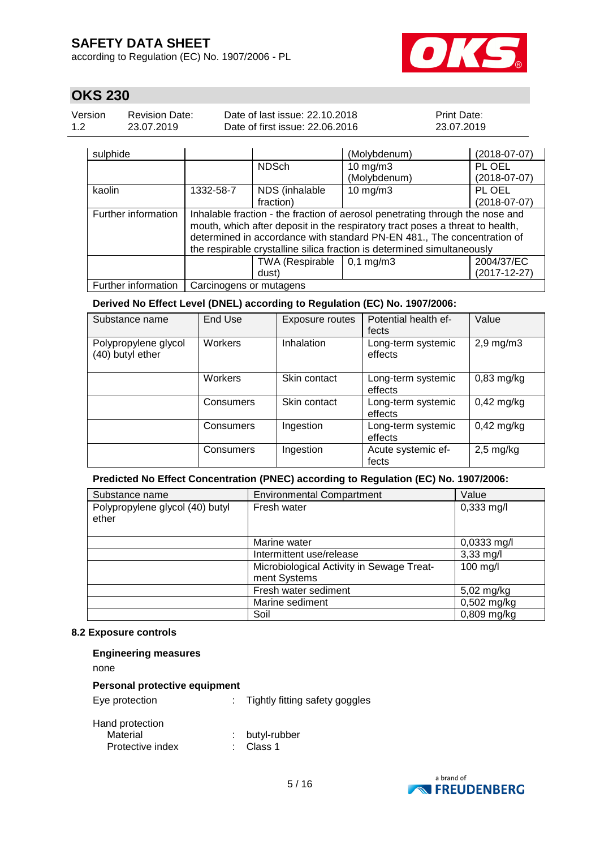according to Regulation (EC) No. 1907/2006 - PL



# **OKS 230**

| Version | <b>Revision Date:</b> | Date of last issue: 22.10.2018  | <b>Print Date:</b> |
|---------|-----------------------|---------------------------------|--------------------|
| 1.2     | 23.07.2019            | Date of first issue: 22,06,2016 | 23.07.2019         |

| sulphide            |                                                                               |                 | (Molybdenum)           | $(2018-07-07)$     |  |  |  |  |
|---------------------|-------------------------------------------------------------------------------|-----------------|------------------------|--------------------|--|--|--|--|
|                     |                                                                               | <b>NDSch</b>    | $10$ mg/m $3$          | PL OEL             |  |  |  |  |
|                     |                                                                               |                 | (Molybdenum)           | $(2018-07-07)$     |  |  |  |  |
| kaolin              | 1332-58-7                                                                     | NDS (inhalable  | $10$ mg/m $3$          | PL OEL             |  |  |  |  |
|                     |                                                                               | fraction)       |                        | $(2018-07-07)$     |  |  |  |  |
| Further information | Inhalable fraction - the fraction of aerosol penetrating through the nose and |                 |                        |                    |  |  |  |  |
|                     | mouth, which after deposit in the respiratory tract poses a threat to health, |                 |                        |                    |  |  |  |  |
|                     | determined in accordance with standard PN-EN 481., The concentration of       |                 |                        |                    |  |  |  |  |
|                     | the respirable crystalline silica fraction is determined simultaneously       |                 |                        |                    |  |  |  |  |
|                     |                                                                               | TWA (Respirable | $0,1 \, \text{mg/m}$ 3 | 2004/37/EC         |  |  |  |  |
|                     |                                                                               | dust)           |                        | $(2017 - 12 - 27)$ |  |  |  |  |
| Further information | Carcinogens or mutagens                                                       |                 |                        |                    |  |  |  |  |

### **Derived No Effect Level (DNEL) according to Regulation (EC) No. 1907/2006:**

| Substance name                           | End Use        | <b>Exposure routes</b> | Potential health ef-<br>fects | Value          |
|------------------------------------------|----------------|------------------------|-------------------------------|----------------|
| Polypropylene glycol<br>(40) butyl ether | <b>Workers</b> | Inhalation             | Long-term systemic<br>effects | $2,9$ mg/m $3$ |
|                                          | Workers        | Skin contact           | Long-term systemic<br>effects | $0,83$ mg/kg   |
|                                          | Consumers      | Skin contact           | Long-term systemic<br>effects | $0,42$ mg/kg   |
|                                          | Consumers      | Ingestion              | Long-term systemic<br>effects | $0,42$ mg/kg   |
|                                          | Consumers      | Ingestion              | Acute systemic ef-<br>fects   | $2,5$ mg/kg    |

### **Predicted No Effect Concentration (PNEC) according to Regulation (EC) No. 1907/2006:**

| Substance name                           | <b>Environmental Compartment</b>          | Value         |
|------------------------------------------|-------------------------------------------|---------------|
| Polypropylene glycol (40) butyl<br>ether | Fresh water                               | $0,333$ mg/l  |
|                                          | Marine water                              | 0,0333 mg/l   |
|                                          | Intermittent use/release                  | $3,33$ mg/l   |
|                                          | Microbiological Activity in Sewage Treat- | 100 mg/l      |
|                                          | ment Systems                              |               |
|                                          | Fresh water sediment                      | 5,02 mg/kg    |
|                                          | Marine sediment                           | $0,502$ mg/kg |
|                                          | Soil                                      | $0,809$ mg/kg |

#### **8.2 Exposure controls**

| <b>Engineering measures</b>                     |                                |
|-------------------------------------------------|--------------------------------|
| none                                            |                                |
| Personal protective equipment                   |                                |
| Eye protection                                  | Tightly fitting safety goggles |
| Hand protection<br>Material<br>Protective index | butyl-rubber<br>Class 1        |

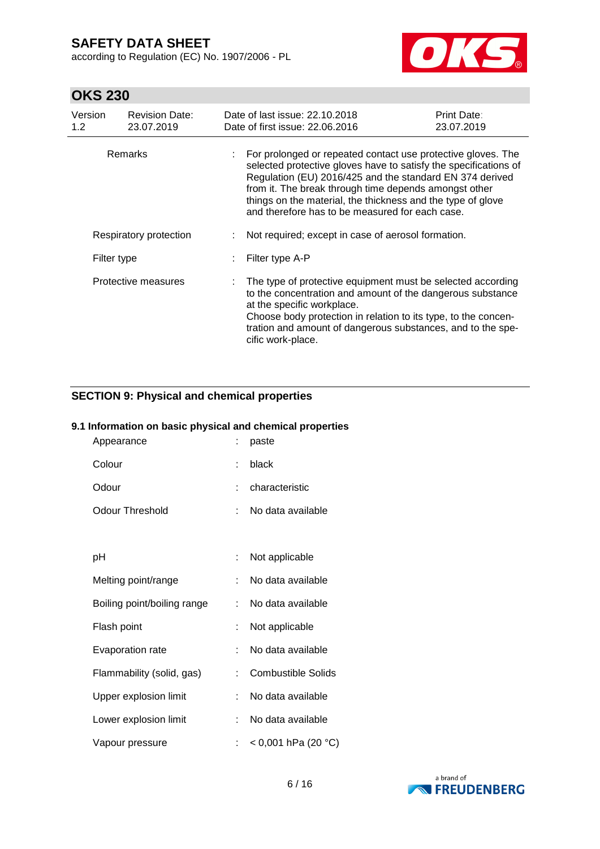according to Regulation (EC) No. 1907/2006 - PL



# **OKS 230**

| Version<br>1.2         | <b>Revision Date:</b><br>23.07.2019 | Date of last issue: 22.10.2018<br>Date of first issue: 22.06.2016                                                                                                                                                                                                                                                                                                       | Print Date:<br>23.07.2019 |  |
|------------------------|-------------------------------------|-------------------------------------------------------------------------------------------------------------------------------------------------------------------------------------------------------------------------------------------------------------------------------------------------------------------------------------------------------------------------|---------------------------|--|
| <b>Remarks</b>         |                                     | For prolonged or repeated contact use protective gloves. The<br>selected protective gloves have to satisfy the specifications of<br>Regulation (EU) 2016/425 and the standard EN 374 derived<br>from it. The break through time depends amongst other<br>things on the material, the thickness and the type of glove<br>and therefore has to be measured for each case. |                           |  |
| Respiratory protection |                                     | Not required; except in case of aerosol formation.                                                                                                                                                                                                                                                                                                                      |                           |  |
| Filter type            |                                     | Filter type A-P                                                                                                                                                                                                                                                                                                                                                         |                           |  |
|                        | Protective measures                 | The type of protective equipment must be selected according<br>to the concentration and amount of the dangerous substance<br>at the specific workplace.<br>Choose body protection in relation to its type, to the concen-<br>tration and amount of dangerous substances, and to the spe-<br>cific work-place.                                                           |                           |  |

## **SECTION 9: Physical and chemical properties**

## **9.1 Information on basic physical and chemical properties**

| Appearance                  |    | paste                     |
|-----------------------------|----|---------------------------|
| Colour                      |    | black                     |
| Odour                       | t. | characteristic            |
| Odour Threshold             | ÷. | No data available         |
|                             |    |                           |
| рH                          |    | Not applicable            |
| Melting point/range         | ÷. | No data available         |
| Boiling point/boiling range | t. | No data available         |
| Flash point                 | ÷  | Not applicable            |
| Evaporation rate            | ÷  | No data available         |
| Flammability (solid, gas)   | ÷. | <b>Combustible Solids</b> |
| Upper explosion limit       | t. | No data available         |
| Lower explosion limit       | t. | No data available         |
| Vapour pressure             |    | < 0,001 hPa (20 °C)       |

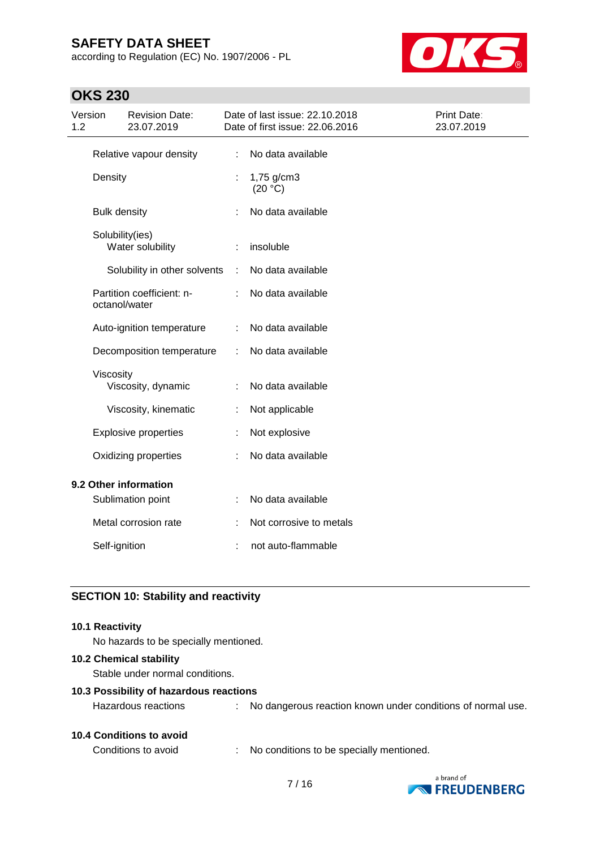according to Regulation (EC) No. 1907/2006 - PL



# **OKS 230**

| 1.2                   | Version              | <b>Revision Date:</b><br>23.07.2019 |   | Date of last issue: 22.10.2018<br>Date of first issue: 22.06.2016 | Print Date:<br>23.07.2019 |
|-----------------------|----------------------|-------------------------------------|---|-------------------------------------------------------------------|---------------------------|
|                       |                      | Relative vapour density             | ÷ | No data available                                                 |                           |
| Density               |                      |                                     |   | 1,75 g/cm3<br>(20 °C)                                             |                           |
|                       | <b>Bulk density</b>  |                                     |   | No data available                                                 |                           |
|                       | Solubility(ies)      | Water solubility                    |   | insoluble                                                         |                           |
|                       |                      | Solubility in other solvents        | ÷ | No data available                                                 |                           |
|                       | octanol/water        | Partition coefficient: n-           |   | No data available                                                 |                           |
|                       |                      | Auto-ignition temperature           |   | No data available                                                 |                           |
|                       |                      | Decomposition temperature           |   | No data available                                                 |                           |
|                       | Viscosity            | Viscosity, dynamic                  | ÷ | No data available                                                 |                           |
|                       |                      | Viscosity, kinematic                | t | Not applicable                                                    |                           |
|                       |                      | <b>Explosive properties</b>         |   | Not explosive                                                     |                           |
|                       | Oxidizing properties |                                     |   | No data available                                                 |                           |
| 9.2 Other information |                      |                                     |   |                                                                   |                           |
|                       |                      | Sublimation point                   | t | No data available                                                 |                           |
|                       |                      | Metal corrosion rate                |   | Not corrosive to metals                                           |                           |
|                       | Self-ignition        |                                     |   | not auto-flammable                                                |                           |

## **SECTION 10: Stability and reactivity**

### **10.1 Reactivity**

No hazards to be specially mentioned.

#### **10.2 Chemical stability**

Stable under normal conditions.

#### **10.3 Possibility of hazardous reactions**

Hazardous reactions : No dangerous reaction known under conditions of normal use.

## **10.4 Conditions to avoid**

Conditions to avoid : No conditions to be specially mentioned.

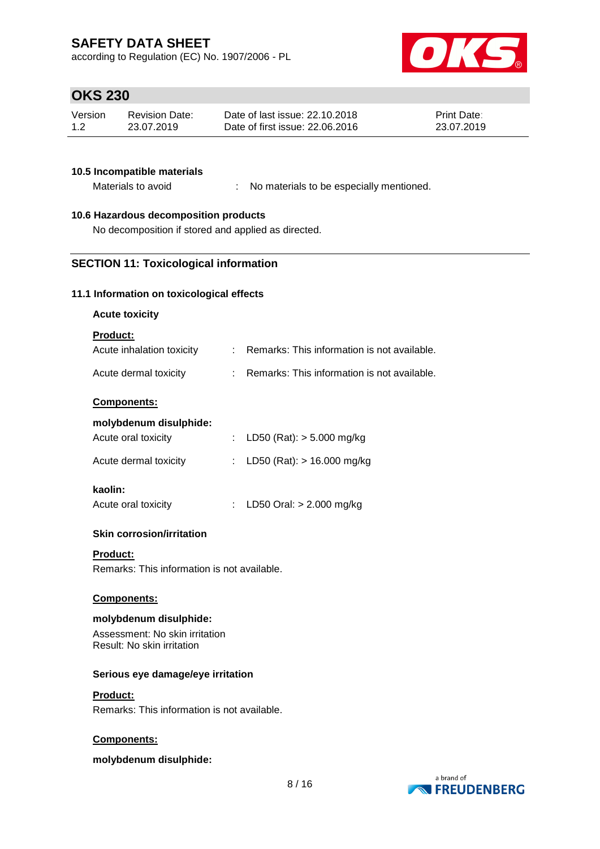according to Regulation (EC) No. 1907/2006 - PL



# **OKS 230**

| Version | <b>Revision Date:</b> | Date of last issue: 22.10.2018  | <b>Print Date:</b> |
|---------|-----------------------|---------------------------------|--------------------|
| 1.2     | 23.07.2019            | Date of first issue: 22.06.2016 | 23.07.2019         |

### **10.5 Incompatible materials**

Materials to avoid : No materials to be especially mentioned.

## **10.6 Hazardous decomposition products**

No decomposition if stored and applied as directed.

## **SECTION 11: Toxicological information**

#### **11.1 Information on toxicological effects**

#### **Acute toxicity**

## **Product:**

| Acute inhalation toxicity | Remarks: This information is not available. |
|---------------------------|---------------------------------------------|
| Acute dermal toxicity     | Remarks: This information is not available. |

### **Components:**

#### **molybdenum disulphide:** Acute oral toxicity : LD50 (Rat): > 5.000 mg/kg

| Acute dermal toxicity | : LD50 (Rat): $> 16.000$ mg/kg |
|-----------------------|--------------------------------|
| kaolin:               |                                |

## Acute oral toxicity : LD50 Oral: > 2.000 mg/kg

### **Skin corrosion/irritation**

#### **Product:**

Remarks: This information is not available.

#### **Components:**

### **molybdenum disulphide:**

Assessment: No skin irritation Result: No skin irritation

#### **Serious eye damage/eye irritation**

#### **Product:**

Remarks: This information is not available.

#### **Components:**

#### **molybdenum disulphide:**

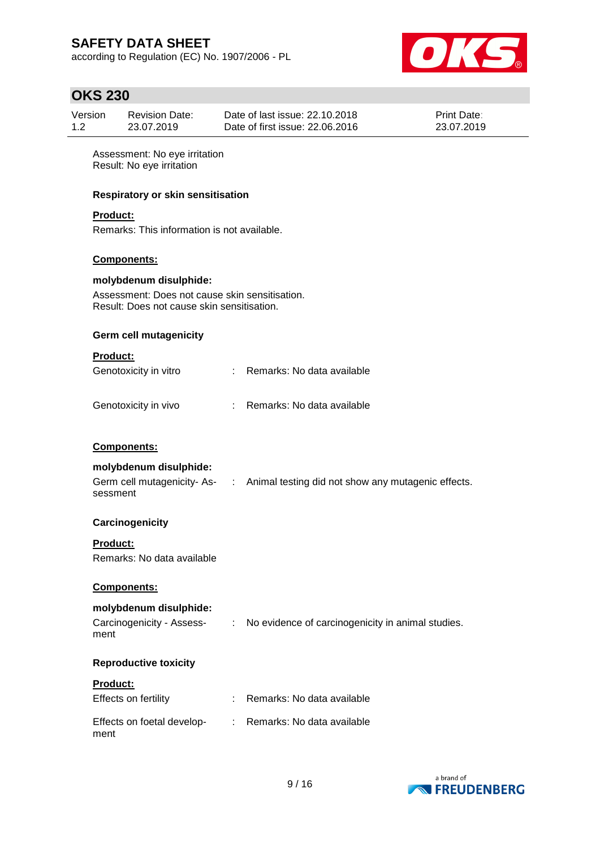according to Regulation (EC) No. 1907/2006 - PL



# **OKS 230**

| Version | Revision Date: | Date of last issue: 22.10.2018  | <b>Print Date:</b> |
|---------|----------------|---------------------------------|--------------------|
| 1.2     | 23.07.2019     | Date of first issue: 22.06.2016 | 23.07.2019         |

Assessment: No eye irritation Result: No eye irritation

### **Respiratory or skin sensitisation**

## **Product:**

Remarks: This information is not available.

### **Components:**

#### **molybdenum disulphide:**

Assessment: Does not cause skin sensitisation. Result: Does not cause skin sensitisation.

### **Germ cell mutagenicity**

#### **Product:**

| Genotoxicity in vitro | Remarks: No data available |
|-----------------------|----------------------------|
| Genotoxicity in vivo  | Remarks: No data available |

### **Components:**

### **molybdenum disulphide:**

| Germ cell mutagenicity- As- | : Animal testing did not show any mutagenic effects. |
|-----------------------------|------------------------------------------------------|
| sessment                    |                                                      |

### **Carcinogenicity**

### **Product:**

Remarks: No data available

### **Components:**

## **molybdenum disulphide:**

| Carcinogenicity - Assess- | No evidence of carcinogenicity in animal studies. |
|---------------------------|---------------------------------------------------|
| ment                      |                                                   |

### **Reproductive toxicity**

### **Product:**

| Effects on fertility               | : Remarks: No data available |
|------------------------------------|------------------------------|
| Effects on foetal develop-<br>ment | : Remarks: No data available |

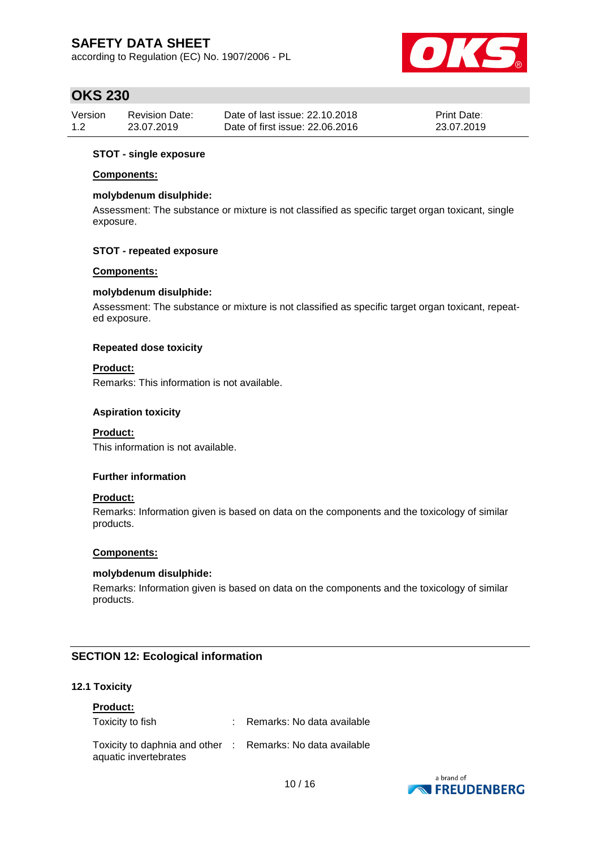according to Regulation (EC) No. 1907/2006 - PL



# **OKS 230**

| Version | <b>Revision Date:</b> | Date of last issue: 22.10.2018  | <b>Print Date:</b> |
|---------|-----------------------|---------------------------------|--------------------|
| 1.2     | 23.07.2019            | Date of first issue: 22,06,2016 | 23.07.2019         |

### **STOT - single exposure**

### **Components:**

### **molybdenum disulphide:**

Assessment: The substance or mixture is not classified as specific target organ toxicant, single exposure.

### **STOT - repeated exposure**

### **Components:**

### **molybdenum disulphide:**

Assessment: The substance or mixture is not classified as specific target organ toxicant, repeated exposure.

### **Repeated dose toxicity**

### **Product:**

Remarks: This information is not available.

### **Aspiration toxicity**

### **Product:**

This information is not available.

#### **Further information**

### **Product:**

Remarks: Information given is based on data on the components and the toxicology of similar products.

#### **Components:**

### **molybdenum disulphide:**

Remarks: Information given is based on data on the components and the toxicology of similar products.

### **SECTION 12: Ecological information**

### **12.1 Toxicity**

#### **Product:**

| Toxicity to fish                                                                    | : Remarks: No data available |
|-------------------------------------------------------------------------------------|------------------------------|
| Toxicity to daphnia and other : Remarks: No data available<br>aquatic invertebrates |                              |

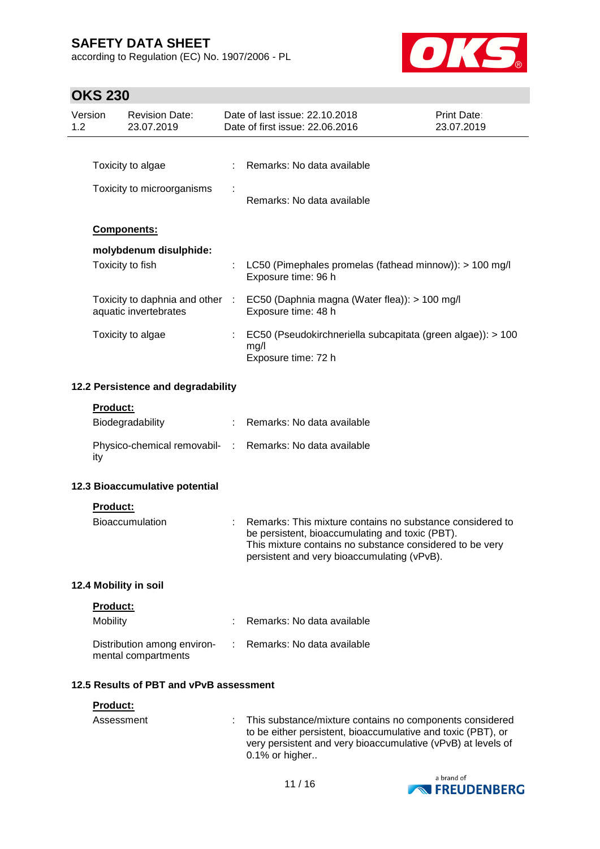according to Regulation (EC) No. 1907/2006 - PL



# **OKS 230**

|                                    | Version          | <b>Revision Date:</b>                                    |   | Date of last issue: 22.10.2018                                                                                                                                                                                          | Print Date: |  |
|------------------------------------|------------------|----------------------------------------------------------|---|-------------------------------------------------------------------------------------------------------------------------------------------------------------------------------------------------------------------------|-------------|--|
| 1.2                                |                  | 23.07.2019                                               |   | Date of first issue: 22.06.2016                                                                                                                                                                                         | 23.07.2019  |  |
|                                    |                  |                                                          |   |                                                                                                                                                                                                                         |             |  |
|                                    |                  | Toxicity to algae                                        |   | Remarks: No data available                                                                                                                                                                                              |             |  |
|                                    |                  | Toxicity to microorganisms                               |   | Remarks: No data available                                                                                                                                                                                              |             |  |
|                                    |                  | <b>Components:</b>                                       |   |                                                                                                                                                                                                                         |             |  |
|                                    |                  | molybdenum disulphide:                                   |   |                                                                                                                                                                                                                         |             |  |
|                                    | Toxicity to fish |                                                          | ÷ | LC50 (Pimephales promelas (fathead minnow)): > 100 mg/l<br>Exposure time: 96 h                                                                                                                                          |             |  |
|                                    |                  | Toxicity to daphnia and other :<br>aquatic invertebrates |   | EC50 (Daphnia magna (Water flea)): > 100 mg/l<br>Exposure time: 48 h                                                                                                                                                    |             |  |
|                                    |                  | Toxicity to algae                                        |   | EC50 (Pseudokirchneriella subcapitata (green algae)): > 100<br>mg/l<br>Exposure time: 72 h                                                                                                                              |             |  |
| 12.2 Persistence and degradability |                  |                                                          |   |                                                                                                                                                                                                                         |             |  |
|                                    | <b>Product:</b>  |                                                          |   |                                                                                                                                                                                                                         |             |  |
|                                    |                  | Biodegradability                                         |   | : Remarks: No data available                                                                                                                                                                                            |             |  |
|                                    | ity              |                                                          |   | Physico-chemical removabil- : Remarks: No data available                                                                                                                                                                |             |  |
|                                    |                  | 12.3 Bioaccumulative potential                           |   |                                                                                                                                                                                                                         |             |  |
|                                    | <b>Product:</b>  |                                                          |   |                                                                                                                                                                                                                         |             |  |
|                                    |                  | <b>Bioaccumulation</b>                                   |   | Remarks: This mixture contains no substance considered to<br>be persistent, bioaccumulating and toxic (PBT).<br>This mixture contains no substance considered to be very<br>persistent and very bioaccumulating (vPvB). |             |  |
|                                    |                  | 12.4 Mobility in soil                                    |   |                                                                                                                                                                                                                         |             |  |
|                                    | <b>Product:</b>  |                                                          |   |                                                                                                                                                                                                                         |             |  |
|                                    | Mobility         |                                                          |   | Remarks: No data available                                                                                                                                                                                              |             |  |
|                                    |                  | Distribution among environ-<br>mental compartments       |   | Remarks: No data available                                                                                                                                                                                              |             |  |
|                                    |                  | 12.5 Results of PBT and vPvB assessment                  |   |                                                                                                                                                                                                                         |             |  |
|                                    | <b>Product:</b>  |                                                          |   |                                                                                                                                                                                                                         |             |  |
|                                    | Assessment       |                                                          |   | This substance/mixture contains no components considered<br>to be either persistent, bioaccumulative and toxic (PBT), or<br>very persistent and very bioaccumulative (vPvB) at levels of<br>0.1% or higher              |             |  |

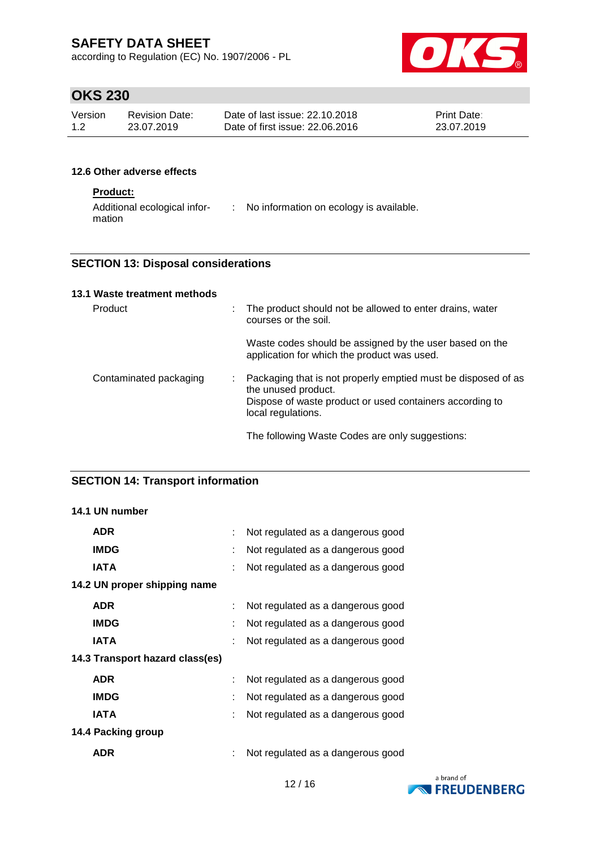according to Regulation (EC) No. 1907/2006 - PL



# **OKS 230**

| Version | <b>Revision Date:</b> | Date of last issue: 22.10.2018  | <b>Print Date:</b> |
|---------|-----------------------|---------------------------------|--------------------|
| 1.2     | 23.07.2019            | Date of first issue: 22,06,2016 | 23.07.2019         |

## **12.6 Other adverse effects**

## **Product:**

| Additional ecological infor- | No information on ecology is available. |
|------------------------------|-----------------------------------------|
| mation                       |                                         |

## **SECTION 13: Disposal considerations**

## **13.1 Waste treatment methods**

| <b>Product</b>         |  | : The product should not be allowed to enter drains, water<br>courses or the soil.                                                                                     |
|------------------------|--|------------------------------------------------------------------------------------------------------------------------------------------------------------------------|
|                        |  | Waste codes should be assigned by the user based on the<br>application for which the product was used.                                                                 |
| Contaminated packaging |  | Packaging that is not properly emptied must be disposed of as<br>the unused product.<br>Dispose of waste product or used containers according to<br>local regulations. |
|                        |  | The following Waste Codes are only suggestions:                                                                                                                        |

## **SECTION 14: Transport information**

## **14.1 UN number**

| <b>ADR</b>                      | Not regulated as a dangerous good |
|---------------------------------|-----------------------------------|
| <b>IMDG</b>                     | Not regulated as a dangerous good |
| <b>IATA</b>                     | Not regulated as a dangerous good |
| 14.2 UN proper shipping name    |                                   |
| <b>ADR</b>                      | Not regulated as a dangerous good |
| <b>IMDG</b>                     | Not regulated as a dangerous good |
| <b>IATA</b>                     | Not regulated as a dangerous good |
| 14.3 Transport hazard class(es) |                                   |
| <b>ADR</b>                      | Not regulated as a dangerous good |
| <b>IMDG</b>                     | Not regulated as a dangerous good |
| <b>IATA</b>                     | Not regulated as a dangerous good |
| 14.4 Packing group              |                                   |
| ADR                             | Not regulated as a dangerous good |

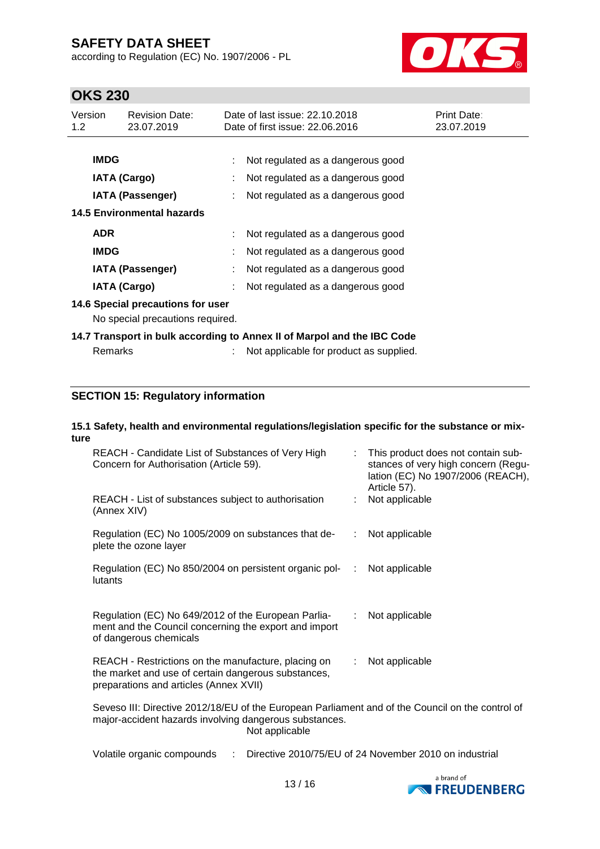according to Regulation (EC) No. 1907/2006 - PL



# **OKS 230**

| Version<br>1.2                                                          | <b>Revision Date:</b><br>23.07.2019 |  | Date of last issue: 22.10.2018<br>Date of first issue: 22.06.2016 | <b>Print Date:</b><br>23.07.2019 |  |
|-------------------------------------------------------------------------|-------------------------------------|--|-------------------------------------------------------------------|----------------------------------|--|
|                                                                         |                                     |  |                                                                   |                                  |  |
| <b>IMDG</b>                                                             |                                     |  | Not regulated as a dangerous good                                 |                                  |  |
|                                                                         | <b>IATA (Cargo)</b>                 |  | Not regulated as a dangerous good                                 |                                  |  |
|                                                                         | <b>IATA (Passenger)</b>             |  | Not regulated as a dangerous good                                 |                                  |  |
|                                                                         | 14.5 Environmental hazards          |  |                                                                   |                                  |  |
| <b>ADR</b>                                                              |                                     |  | Not regulated as a dangerous good                                 |                                  |  |
| <b>IMDG</b>                                                             |                                     |  | Not regulated as a dangerous good                                 |                                  |  |
|                                                                         | <b>IATA (Passenger)</b>             |  | Not regulated as a dangerous good                                 |                                  |  |
|                                                                         | <b>IATA (Cargo)</b>                 |  | Not regulated as a dangerous good                                 |                                  |  |
|                                                                         | 14.6 Special precautions for user   |  |                                                                   |                                  |  |
|                                                                         | No special precautions required.    |  |                                                                   |                                  |  |
| 14.7 Transport in bulk according to Annex II of Marpol and the IBC Code |                                     |  |                                                                   |                                  |  |
|                                                                         | Remarks                             |  | Not applicable for product as supplied.                           |                                  |  |

## **SECTION 15: Regulatory information**

## **15.1 Safety, health and environmental regulations/legislation specific for the substance or mixture**

| REACH - Candidate List of Substances of Very High<br>Concern for Authorisation (Article 59).                                                                                 |                              | This product does not contain sub-<br>stances of very high concern (Regu-<br>lation (EC) No 1907/2006 (REACH),<br>Article 57). |  |  |
|------------------------------------------------------------------------------------------------------------------------------------------------------------------------------|------------------------------|--------------------------------------------------------------------------------------------------------------------------------|--|--|
| REACH - List of substances subject to authorisation<br>(Annex XIV)                                                                                                           |                              | Not applicable                                                                                                                 |  |  |
| Regulation (EC) No 1005/2009 on substances that de-<br>plete the ozone layer                                                                                                 | ÷.                           | Not applicable                                                                                                                 |  |  |
| Regulation (EC) No 850/2004 on persistent organic pol-<br>lutants                                                                                                            | $\mathcal{L}_{\mathrm{eff}}$ | Not applicable                                                                                                                 |  |  |
| Regulation (EC) No 649/2012 of the European Parlia-<br>ment and the Council concerning the export and import<br>of dangerous chemicals                                       |                              | Not applicable                                                                                                                 |  |  |
| REACH - Restrictions on the manufacture, placing on<br>the market and use of certain dangerous substances,<br>preparations and articles (Annex XVII)                         | ÷.                           | Not applicable                                                                                                                 |  |  |
| Seveso III: Directive 2012/18/EU of the European Parliament and of the Council on the control of<br>major-accident hazards involving dangerous substances.<br>Not applicable |                              |                                                                                                                                |  |  |

Volatile organic compounds : Directive 2010/75/EU of 24 November 2010 on industrial

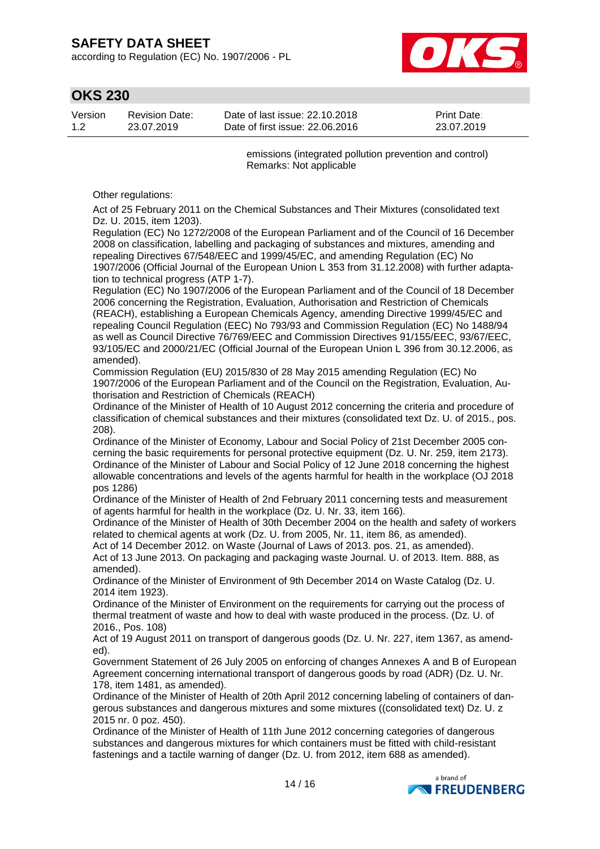according to Regulation (EC) No. 1907/2006 - PL



# **OKS 230**

| Version | <b>Revision Date:</b> | Date of last issue: 22.10.2018  | <b>Print Date:</b> |
|---------|-----------------------|---------------------------------|--------------------|
| 1.2     | 23.07.2019            | Date of first issue: 22.06.2016 | 23.07.2019         |

emissions (integrated pollution prevention and control) Remarks: Not applicable

Other regulations:

Act of 25 February 2011 on the Chemical Substances and Their Mixtures (consolidated text Dz. U. 2015, item 1203).

Regulation (EC) No 1272/2008 of the European Parliament and of the Council of 16 December 2008 on classification, labelling and packaging of substances and mixtures, amending and repealing Directives 67/548/EEC and 1999/45/EC, and amending Regulation (EC) No 1907/2006 (Official Journal of the European Union L 353 from 31.12.2008) with further adaptation to technical progress (ATP 1-7).

Regulation (EC) No 1907/2006 of the European Parliament and of the Council of 18 December 2006 concerning the Registration, Evaluation, Authorisation and Restriction of Chemicals (REACH), establishing a European Chemicals Agency, amending Directive 1999/45/EC and repealing Council Regulation (EEC) No 793/93 and Commission Regulation (EC) No 1488/94 as well as Council Directive 76/769/EEC and Commission Directives 91/155/EEC, 93/67/EEC, 93/105/EC and 2000/21/EC (Official Journal of the European Union L 396 from 30.12.2006, as amended).

Commission Regulation (EU) 2015/830 of 28 May 2015 amending Regulation (EC) No 1907/2006 of the European Parliament and of the Council on the Registration, Evaluation, Authorisation and Restriction of Chemicals (REACH)

Ordinance of the Minister of Health of 10 August 2012 concerning the criteria and procedure of classification of chemical substances and their mixtures (consolidated text Dz. U. of 2015., pos. 208).

Ordinance of the Minister of Economy, Labour and Social Policy of 21st December 2005 concerning the basic requirements for personal protective equipment (Dz. U. Nr. 259, item 2173). Ordinance of the Minister of Labour and Social Policy of 12 June 2018 concerning the highest allowable concentrations and levels of the agents harmful for health in the workplace (OJ 2018 pos 1286)

Ordinance of the Minister of Health of 2nd February 2011 concerning tests and measurement of agents harmful for health in the workplace (Dz. U. Nr. 33, item 166).

Ordinance of the Minister of Health of 30th December 2004 on the health and safety of workers related to chemical agents at work (Dz. U. from 2005, Nr. 11, item 86, as amended).

Act of 14 December 2012. on Waste (Journal of Laws of 2013. pos. 21, as amended). Act of 13 June 2013. On packaging and packaging waste Journal. U. of 2013. Item. 888, as amended).

Ordinance of the Minister of Environment of 9th December 2014 on Waste Catalog (Dz. U. 2014 item 1923).

Ordinance of the Minister of Environment on the requirements for carrying out the process of thermal treatment of waste and how to deal with waste produced in the process. (Dz. U. of 2016., Pos. 108)

Act of 19 August 2011 on transport of dangerous goods (Dz. U. Nr. 227, item 1367, as amended).

Government Statement of 26 July 2005 on enforcing of changes Annexes A and B of European Agreement concerning international transport of dangerous goods by road (ADR) (Dz. U. Nr. 178, item 1481, as amended).

Ordinance of the Minister of Health of 20th April 2012 concerning labeling of containers of dangerous substances and dangerous mixtures and some mixtures ((consolidated text) Dz. U. z 2015 nr. 0 poz. 450).

Ordinance of the Minister of Health of 11th June 2012 concerning categories of dangerous substances and dangerous mixtures for which containers must be fitted with child-resistant fastenings and a tactile warning of danger (Dz. U. from 2012, item 688 as amended).

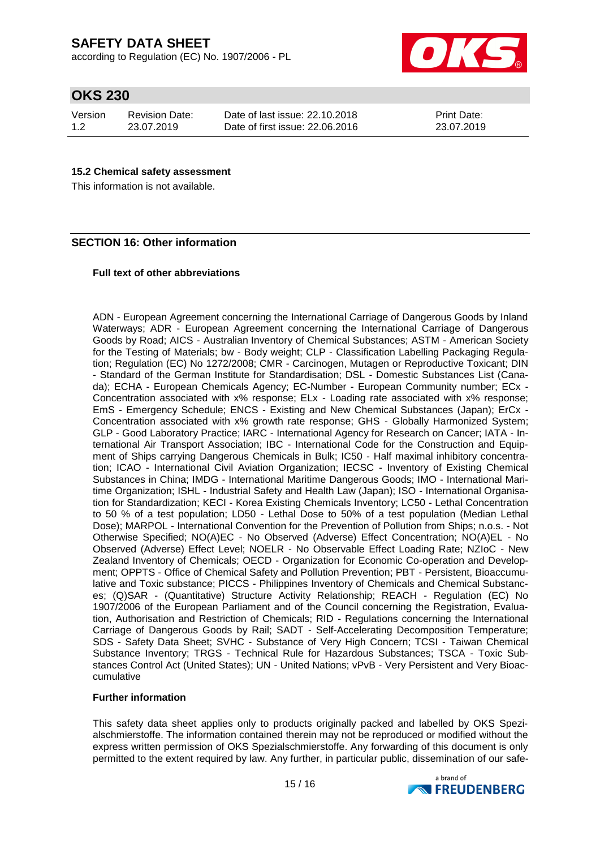according to Regulation (EC) No. 1907/2006 - PL



# **OKS 230**

| Version | <b>Revision Date:</b> | Date of |
|---------|-----------------------|---------|
| 1.2     | 23.07.2019            | Date of |

last issue: 22.10.2018 first issue: 22.06.2016 Print Date: 23.07.2019

## **15.2 Chemical safety assessment**

This information is not available.

## **SECTION 16: Other information**

### **Full text of other abbreviations**

ADN - European Agreement concerning the International Carriage of Dangerous Goods by Inland Waterways; ADR - European Agreement concerning the International Carriage of Dangerous Goods by Road; AICS - Australian Inventory of Chemical Substances; ASTM - American Society for the Testing of Materials; bw - Body weight; CLP - Classification Labelling Packaging Regulation; Regulation (EC) No 1272/2008; CMR - Carcinogen, Mutagen or Reproductive Toxicant; DIN - Standard of the German Institute for Standardisation; DSL - Domestic Substances List (Canada); ECHA - European Chemicals Agency; EC-Number - European Community number; ECx - Concentration associated with x% response; ELx - Loading rate associated with x% response; EmS - Emergency Schedule; ENCS - Existing and New Chemical Substances (Japan); ErCx - Concentration associated with x% growth rate response; GHS - Globally Harmonized System; GLP - Good Laboratory Practice; IARC - International Agency for Research on Cancer; IATA - International Air Transport Association; IBC - International Code for the Construction and Equipment of Ships carrying Dangerous Chemicals in Bulk; IC50 - Half maximal inhibitory concentration; ICAO - International Civil Aviation Organization; IECSC - Inventory of Existing Chemical Substances in China; IMDG - International Maritime Dangerous Goods; IMO - International Maritime Organization; ISHL - Industrial Safety and Health Law (Japan); ISO - International Organisation for Standardization; KECI - Korea Existing Chemicals Inventory; LC50 - Lethal Concentration to 50 % of a test population; LD50 - Lethal Dose to 50% of a test population (Median Lethal Dose); MARPOL - International Convention for the Prevention of Pollution from Ships; n.o.s. - Not Otherwise Specified; NO(A)EC - No Observed (Adverse) Effect Concentration; NO(A)EL - No Observed (Adverse) Effect Level; NOELR - No Observable Effect Loading Rate; NZIoC - New Zealand Inventory of Chemicals; OECD - Organization for Economic Co-operation and Development; OPPTS - Office of Chemical Safety and Pollution Prevention; PBT - Persistent, Bioaccumulative and Toxic substance; PICCS - Philippines Inventory of Chemicals and Chemical Substances; (Q)SAR - (Quantitative) Structure Activity Relationship; REACH - Regulation (EC) No 1907/2006 of the European Parliament and of the Council concerning the Registration, Evaluation, Authorisation and Restriction of Chemicals; RID - Regulations concerning the International Carriage of Dangerous Goods by Rail; SADT - Self-Accelerating Decomposition Temperature; SDS - Safety Data Sheet; SVHC - Substance of Very High Concern; TCSI - Taiwan Chemical Substance Inventory; TRGS - Technical Rule for Hazardous Substances; TSCA - Toxic Substances Control Act (United States); UN - United Nations; vPvB - Very Persistent and Very Bioaccumulative

#### **Further information**

This safety data sheet applies only to products originally packed and labelled by OKS Spezialschmierstoffe. The information contained therein may not be reproduced or modified without the express written permission of OKS Spezialschmierstoffe. Any forwarding of this document is only permitted to the extent required by law. Any further, in particular public, dissemination of our safe-